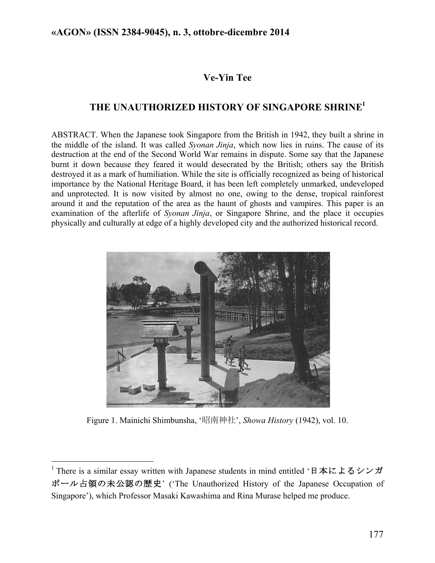# **Ve-Yin Tee**

## **THE UNAUTHORIZED HISTORY OF SINGAPORE SHRINE1**

ABSTRACT. When the Japanese took Singapore from the British in 1942, they built a shrine in the middle of the island. It was called *Syonan Jinja*, which now lies in ruins. The cause of its destruction at the end of the Second World War remains in dispute. Some say that the Japanese burnt it down because they feared it would desecrated by the British; others say the British destroyed it as a mark of humiliation. While the site is officially recognized as being of historical importance by the National Heritage Board, it has been left completely unmarked, undeveloped and unprotected. It is now visited by almost no one, owing to the dense, tropical rainforest around it and the reputation of the area as the haunt of ghosts and vampires. This paper is an examination of the afterlife of *Syonan Jinja*, or Singapore Shrine, and the place it occupies physically and culturally at edge of a highly developed city and the authorized historical record.



Figure 1. Mainichi Shimbunsha, '昭南神社', *Showa History* (1942), vol. 10.

!!!!!!!!!!!!!!!!!!!!!!!!!!!!!!!!!!!!!!!!!!!!!!!!!!!!!!!!!!!!

<sup>&</sup>lt;sup>1</sup> There is a similar essay written with Japanese students in mind entitled '日本によるシンガ ポール占領の未公認の歴史' ('The Unauthorized History of the Japanese Occupation of Singapore'), which Professor Masaki Kawashima and Rina Murase helped me produce.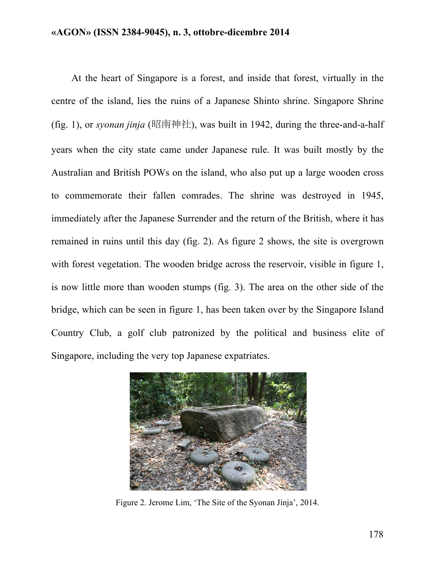At the heart of Singapore is a forest, and inside that forest, virtually in the centre of the island, lies the ruins of a Japanese Shinto shrine. Singapore Shrine (fig. 1), or *syonan jinja* (昭南神社), was built in 1942, during the three-and-a-half years when the city state came under Japanese rule. It was built mostly by the Australian and British POWs on the island, who also put up a large wooden cross to commemorate their fallen comrades. The shrine was destroyed in 1945, immediately after the Japanese Surrender and the return of the British, where it has remained in ruins until this day (fig. 2). As figure 2 shows, the site is overgrown with forest vegetation. The wooden bridge across the reservoir, visible in figure 1, is now little more than wooden stumps (fig. 3). The area on the other side of the bridge, which can be seen in figure 1, has been taken over by the Singapore Island Country Club, a golf club patronized by the political and business elite of Singapore, including the very top Japanese expatriates.



Figure 2. Jerome Lim, 'The Site of the Syonan Jinja', 2014.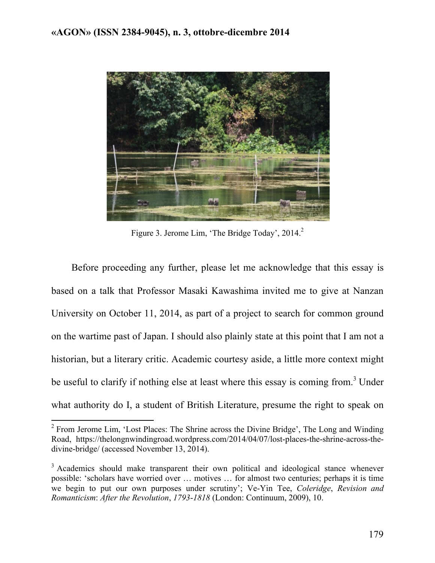

Figure 3. Jerome Lim, 'The Bridge Today', 2014.<sup>2</sup>

Before proceeding any further, please let me acknowledge that this essay is based on a talk that Professor Masaki Kawashima invited me to give at Nanzan University on October 11, 2014, as part of a project to search for common ground on the wartime past of Japan. I should also plainly state at this point that I am not a historian, but a literary critic. Academic courtesy aside, a little more context might be useful to clarify if nothing else at least where this essay is coming from.<sup>3</sup> Under what authority do I, a student of British Literature, presume the right to speak on

 $2$  From Jerome Lim, 'Lost Places: The Shrine across the Divine Bridge', The Long and Winding Road, https://thelongnwindingroad.wordpress.com/2014/04/07/lost-places-the-shrine-across-thedivine-bridge/ (accessed November 13, 2014).

<sup>&</sup>lt;sup>3</sup> Academics should make transparent their own political and ideological stance whenever possible: 'scholars have worried over … motives … for almost two centuries; perhaps it is time we begin to put our own purposes under scrutiny'; Ve-Yin Tee, *Coleridge*, *Revision and Romanticism*: *After the Revolution*, *1793*-*1818* (London: Continuum, 2009), 10.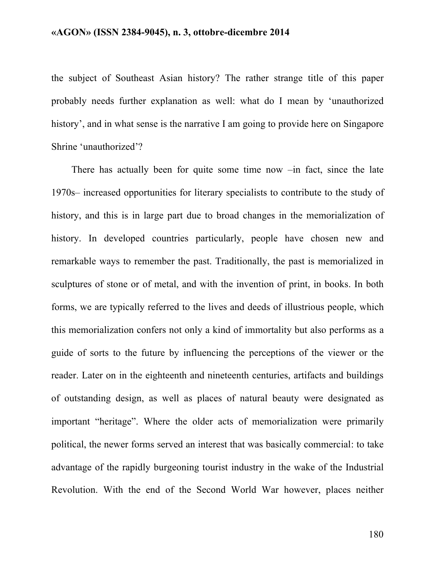the subject of Southeast Asian history? The rather strange title of this paper probably needs further explanation as well: what do I mean by 'unauthorized history', and in what sense is the narrative I am going to provide here on Singapore Shrine 'unauthorized'?

There has actually been for quite some time now –in fact, since the late 1970s– increased opportunities for literary specialists to contribute to the study of history, and this is in large part due to broad changes in the memorialization of history. In developed countries particularly, people have chosen new and remarkable ways to remember the past. Traditionally, the past is memorialized in sculptures of stone or of metal, and with the invention of print, in books. In both forms, we are typically referred to the lives and deeds of illustrious people, which this memorialization confers not only a kind of immortality but also performs as a guide of sorts to the future by influencing the perceptions of the viewer or the reader. Later on in the eighteenth and nineteenth centuries, artifacts and buildings of outstanding design, as well as places of natural beauty were designated as important "heritage". Where the older acts of memorialization were primarily political, the newer forms served an interest that was basically commercial: to take advantage of the rapidly burgeoning tourist industry in the wake of the Industrial Revolution. With the end of the Second World War however, places neither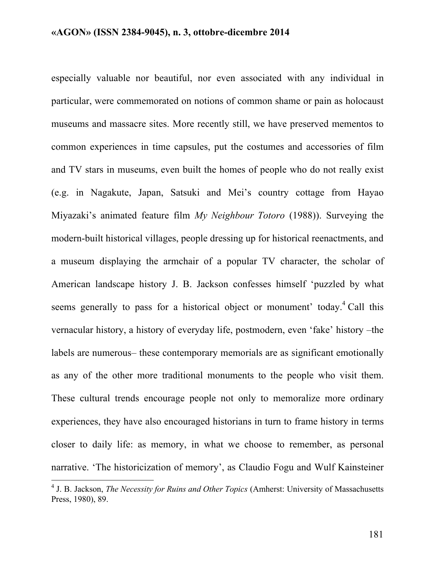especially valuable nor beautiful, nor even associated with any individual in particular, were commemorated on notions of common shame or pain as holocaust museums and massacre sites. More recently still, we have preserved mementos to common experiences in time capsules, put the costumes and accessories of film and TV stars in museums, even built the homes of people who do not really exist (e.g. in Nagakute, Japan, Satsuki and Mei's country cottage from Hayao Miyazaki's animated feature film *My Neighbour Totoro* (1988)). Surveying the modern-built historical villages, people dressing up for historical reenactments, and a museum displaying the armchair of a popular TV character, the scholar of American landscape history J. B. Jackson confesses himself 'puzzled by what seems generally to pass for a historical object or monument' today.<sup>4</sup> Call this vernacular history, a history of everyday life, postmodern, even 'fake' history –the labels are numerous– these contemporary memorials are as significant emotionally as any of the other more traditional monuments to the people who visit them. These cultural trends encourage people not only to memoralize more ordinary experiences, they have also encouraged historians in turn to frame history in terms closer to daily life: as memory, in what we choose to remember, as personal narrative. 'The historicization of memory', as Claudio Fogu and Wulf Kainsteiner

<sup>&</sup>lt;sup>4</sup> J. B. Jackson, *The Necessity for Ruins and Other Topics* (Amherst: University of Massachusetts Press, 1980), 89.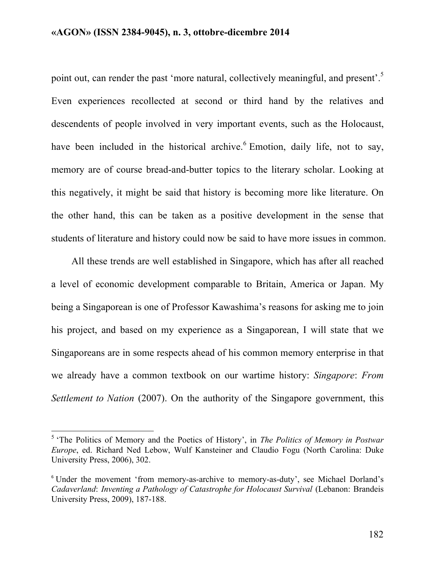point out, can render the past 'more natural, collectively meaningful, and present'.<sup>5</sup> Even experiences recollected at second or third hand by the relatives and descendents of people involved in very important events, such as the Holocaust, have been included in the historical archive.<sup>6</sup> Emotion, daily life, not to say, memory are of course bread-and-butter topics to the literary scholar. Looking at this negatively, it might be said that history is becoming more like literature. On the other hand, this can be taken as a positive development in the sense that students of literature and history could now be said to have more issues in common.

All these trends are well established in Singapore, which has after all reached a level of economic development comparable to Britain, America or Japan. My being a Singaporean is one of Professor Kawashima's reasons for asking me to join his project, and based on my experience as a Singaporean, I will state that we Singaporeans are in some respects ahead of his common memory enterprise in that we already have a common textbook on our wartime history: *Singapore*: *From Settlement to Nation* (2007). On the authority of the Singapore government, this

<sup>&</sup>lt;sup>5</sup> 'The Politics of Memory and the Poetics of History', in *The Politics of Memory in Postwar Europe*, ed. Richard Ned Lebow, Wulf Kansteiner and Claudio Fogu (North Carolina: Duke University Press, 2006), 302.

<sup>&</sup>lt;sup>6</sup> Under the movement 'from memory-as-archive to memory-as-duty', see Michael Dorland's *Cadaverland*: *Inventing a Pathology of Catastrophe for Holocaust Survival* (Lebanon: Brandeis University Press, 2009), 187-188.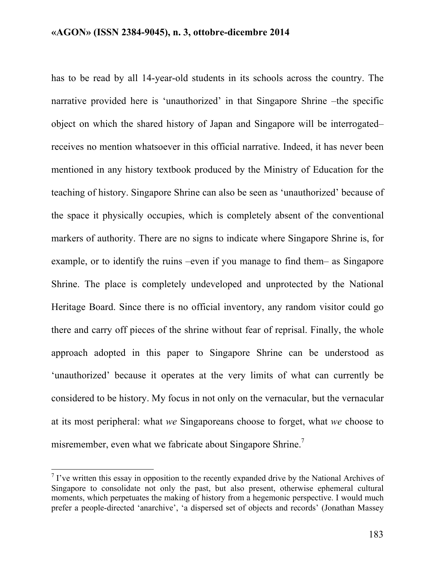has to be read by all 14-year-old students in its schools across the country. The narrative provided here is 'unauthorized' in that Singapore Shrine –the specific object on which the shared history of Japan and Singapore will be interrogated– receives no mention whatsoever in this official narrative. Indeed, it has never been mentioned in any history textbook produced by the Ministry of Education for the teaching of history. Singapore Shrine can also be seen as 'unauthorized' because of the space it physically occupies, which is completely absent of the conventional markers of authority. There are no signs to indicate where Singapore Shrine is, for example, or to identify the ruins –even if you manage to find them– as Singapore Shrine. The place is completely undeveloped and unprotected by the National Heritage Board. Since there is no official inventory, any random visitor could go there and carry off pieces of the shrine without fear of reprisal. Finally, the whole approach adopted in this paper to Singapore Shrine can be understood as 'unauthorized' because it operates at the very limits of what can currently be considered to be history. My focus in not only on the vernacular, but the vernacular at its most peripheral: what *we* Singaporeans choose to forget, what *we* choose to misremember, even what we fabricate about Singapore Shrine.<sup>7</sup>

 $\binom{7}{1}$  i've written this essay in opposition to the recently expanded drive by the National Archives of Singapore to consolidate not only the past, but also present, otherwise ephemeral cultural moments, which perpetuates the making of history from a hegemonic perspective. I would much prefer a people-directed 'anarchive', 'a dispersed set of objects and records' (Jonathan Massey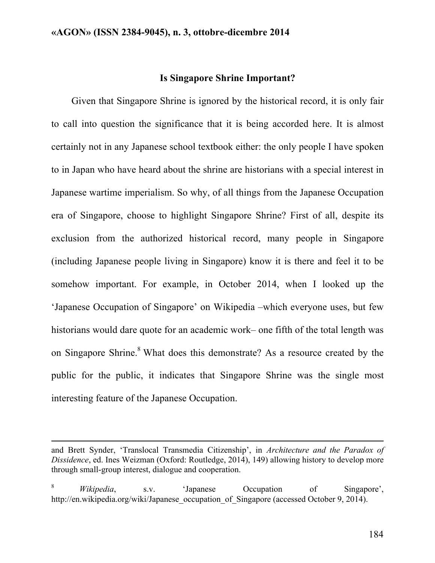## **Is Singapore Shrine Important?**

Given that Singapore Shrine is ignored by the historical record, it is only fair to call into question the significance that it is being accorded here. It is almost certainly not in any Japanese school textbook either: the only people I have spoken to in Japan who have heard about the shrine are historians with a special interest in Japanese wartime imperialism. So why, of all things from the Japanese Occupation era of Singapore, choose to highlight Singapore Shrine? First of all, despite its exclusion from the authorized historical record, many people in Singapore (including Japanese people living in Singapore) know it is there and feel it to be somehow important. For example, in October 2014, when I looked up the 'Japanese Occupation of Singapore' on Wikipedia –which everyone uses, but few historians would dare quote for an academic work– one fifth of the total length was on Singapore Shrine.<sup>8</sup> What does this demonstrate? As a resource created by the public for the public, it indicates that Singapore Shrine was the single most interesting feature of the Japanese Occupation.

!!!!!!!!!!!!!!!!!!!!!!!!!!!!!!!!!!!!!!!!!!!!!!!!!!!!!!!!!!!!!!!!!!!!!!!!!!!!!!!!!!!!!!!!!!!!!!!!!!!!!!!!!!!!!!!!!!!!!!!!!!!!!!!!!!!!!!!!!!!!!!!!!!!!!!!!!!!!!!!!!!!!!!!!!!!!!!!!!!!!!!!!!!!!!!!!!!!

and Brett Synder, 'Translocal Transmedia Citizenship', in *Architecture and the Paradox of Dissidence*, ed. Ines Weizman (Oxford: Routledge, 2014), 149) allowing history to develop more through small-group interest, dialogue and cooperation.

<sup>8</sup> *Wikipedia*, s.v. 'Japanese Occupation of Singapore', http://en.wikipedia.org/wiki/Japanese\_occupation\_of\_Singapore (accessed October 9, 2014).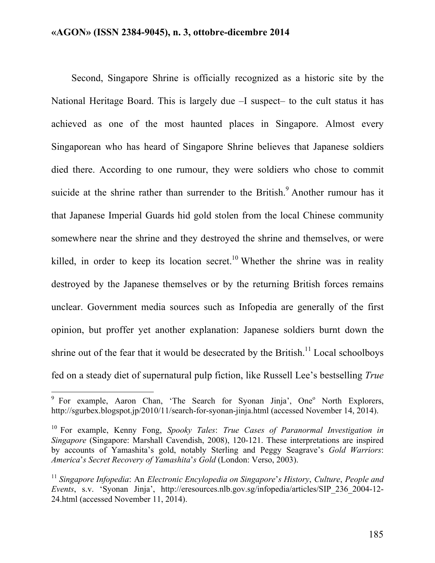Second, Singapore Shrine is officially recognized as a historic site by the National Heritage Board. This is largely due –I suspect– to the cult status it has achieved as one of the most haunted places in Singapore. Almost every Singaporean who has heard of Singapore Shrine believes that Japanese soldiers died there. According to one rumour, they were soldiers who chose to commit suicide at the shrine rather than surrender to the British.<sup>9</sup> Another rumour has it that Japanese Imperial Guards hid gold stolen from the local Chinese community somewhere near the shrine and they destroyed the shrine and themselves, or were killed, in order to keep its location secret.<sup>10</sup> Whether the shrine was in reality destroyed by the Japanese themselves or by the returning British forces remains unclear. Government media sources such as Infopedia are generally of the first opinion, but proffer yet another explanation: Japanese soldiers burnt down the shrine out of the fear that it would be desecrated by the British.<sup>11</sup> Local schoolboys fed on a steady diet of supernatural pulp fiction, like Russell Lee's bestselling *True* 

<sup>&</sup>lt;sup>9</sup> For example, Aaron Chan, 'The Search for Syonan Jinja', One<sup>o</sup> North Explorers, http://sgurbex.blogspot.jp/2010/11/search-for-syonan-jinja.html (accessed November 14, 2014).

<sup>10</sup> For example, Kenny Fong, *Spooky Tales*: *True Cases of Paranormal Investigation in Singapore* (Singapore: Marshall Cavendish, 2008), 120-121. These interpretations are inspired by accounts of Yamashita's gold, notably Sterling and Peggy Seagrave's *Gold Warriors*: *America*'*s Secret Recovery of Yamashita*'*s Gold* (London: Verso, 2003).

<sup>11</sup> *Singapore Infopedia*: An *Electronic Encylopedia on Singapore*'*s History*, *Culture*, *People and Events*, s.v. 'Syonan Jinja', http://eresources.nlb.gov.sg/infopedia/articles/SIP\_236\_2004-12- 24.html (accessed November 11, 2014).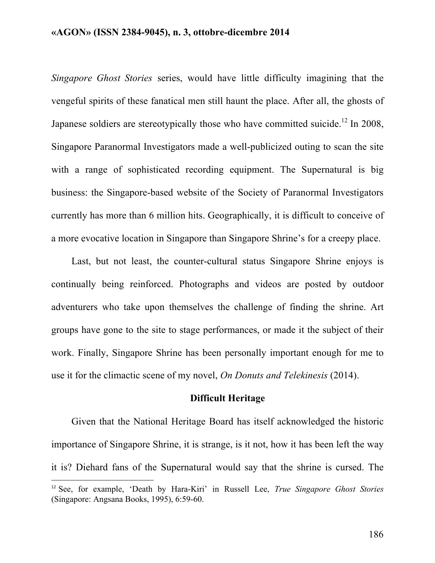*Singapore Ghost Stories* series, would have little difficulty imagining that the vengeful spirits of these fanatical men still haunt the place. After all, the ghosts of Japanese soldiers are stereotypically those who have committed suicide.<sup>12</sup> In 2008, Singapore Paranormal Investigators made a well-publicized outing to scan the site with a range of sophisticated recording equipment. The Supernatural is big business: the Singapore-based website of the Society of Paranormal Investigators currently has more than 6 million hits. Geographically, it is difficult to conceive of a more evocative location in Singapore than Singapore Shrine's for a creepy place.

Last, but not least, the counter-cultural status Singapore Shrine enjoys is continually being reinforced. Photographs and videos are posted by outdoor adventurers who take upon themselves the challenge of finding the shrine. Art groups have gone to the site to stage performances, or made it the subject of their work. Finally, Singapore Shrine has been personally important enough for me to use it for the climactic scene of my novel, *On Donuts and Telekinesis* (2014).

#### **Difficult Heritage**

Given that the National Heritage Board has itself acknowledged the historic importance of Singapore Shrine, it is strange, is it not, how it has been left the way it is? Diehard fans of the Supernatural would say that the shrine is cursed. The

!!!!!!!!!!!!!!!!!!!!!!!!!!!!!!!!!!!!!!!!!!!!!!!!!!!!!!!!!!!!

<sup>12</sup> See, for example, 'Death by Hara-Kiri' in Russell Lee, *True Singapore Ghost Stories* (Singapore: Angsana Books, 1995), 6:59-60.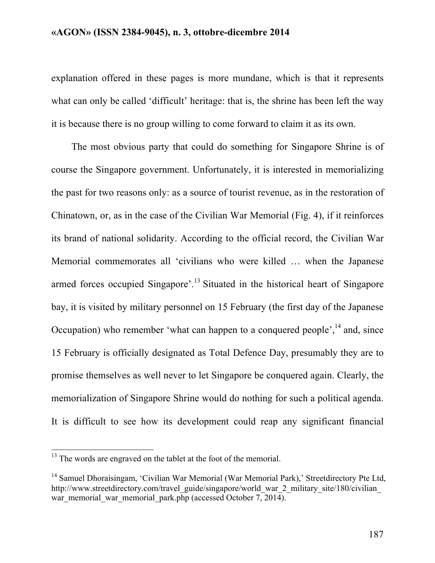explanation offered in these pages is more mundane, which is that it represents what can only be called 'difficult' heritage: that is, the shrine has been left the way it is because there is no group willing to come forward to claim it as its own.

The most obvious party that could do something for Singapore Shrine is of course the Singapore government. Unfortunately, it is interested in memorializing the past for two reasons only: as a source of tourist revenue, as in the restoration of Chinatown, or, as in the case of the Civilian War Memorial (Fig. 4), if it reinforces its brand of national solidarity. According to the official record, the Civilian War Memorial commemorates all 'civilians who were killed … when the Japanese armed forces occupied Singapore'.<sup>13</sup> Situated in the historical heart of Singapore bay, it is visited by military personnel on 15 February (the first day of the Japanese Occupation) who remember 'what can happen to a conquered people', $^{14}$  and, since 15 February is officially designated as Total Defence Day, presumably they are to promise themselves as well never to let Singapore be conquered again. Clearly, the memorialization of Singapore Shrine would do nothing for such a political agenda. It is difficult to see how its development could reap any significant financial

 $13$  The words are engraved on the tablet at the foot of the memorial.

<sup>&</sup>lt;sup>14</sup> Samuel Dhoraisingam, 'Civilian War Memorial (War Memorial Park),' Streetdirectory Pte Ltd, http://www.streetdirectory.com/travel\_guide/singapore/world\_war\_2\_military\_site/180/civilian war\_memorial\_war\_memorial\_park.php (accessed October  $7, 2014$ ).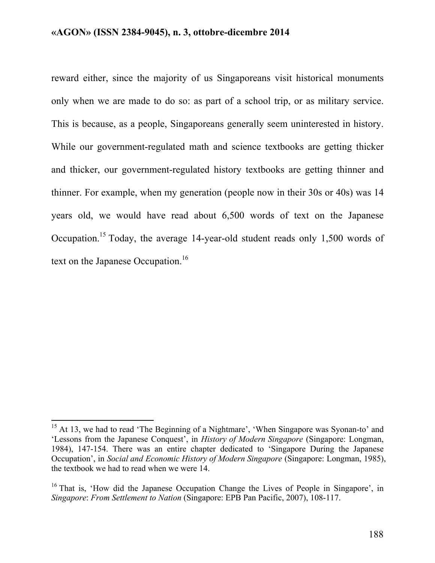reward either, since the majority of us Singaporeans visit historical monuments only when we are made to do so: as part of a school trip, or as military service. This is because, as a people, Singaporeans generally seem uninterested in history. While our government-regulated math and science textbooks are getting thicker and thicker, our government-regulated history textbooks are getting thinner and thinner. For example, when my generation (people now in their 30s or 40s) was 14 years old, we would have read about 6,500 words of text on the Japanese Occupation.15 Today, the average 14-year-old student reads only 1,500 words of text on the Japanese Occupation.<sup>16</sup>

<sup>&</sup>lt;sup>15</sup> At 13, we had to read 'The Beginning of a Nightmare', 'When Singapore was Syonan-to' and 'Lessons from the Japanese Conquest', in *History of Modern Singapore* (Singapore: Longman, 1984), 147-154. There was an entire chapter dedicated to 'Singapore During the Japanese Occupation', in *Social and Economic History of Modern Singapore* (Singapore: Longman, 1985), the textbook we had to read when we were 14.

 $16$  That is, 'How did the Japanese Occupation Change the Lives of People in Singapore', in *Singapore*: *From Settlement to Nation* (Singapore: EPB Pan Pacific, 2007), 108-117.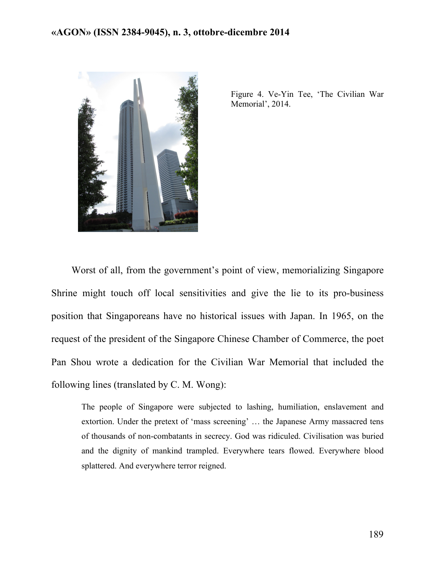

Figure 4. Ve-Yin Tee, 'The Civilian War Memorial', 2014.

Worst of all, from the government's point of view, memorializing Singapore Shrine might touch off local sensitivities and give the lie to its pro-business position that Singaporeans have no historical issues with Japan. In 1965, on the request of the president of the Singapore Chinese Chamber of Commerce, the poet Pan Shou wrote a dedication for the Civilian War Memorial that included the following lines (translated by C. M. Wong):

The people of Singapore were subjected to lashing, humiliation, enslavement and extortion. Under the pretext of 'mass screening' … the Japanese Army massacred tens of thousands of non-combatants in secrecy. God was ridiculed. Civilisation was buried and the dignity of mankind trampled. Everywhere tears flowed. Everywhere blood splattered. And everywhere terror reigned.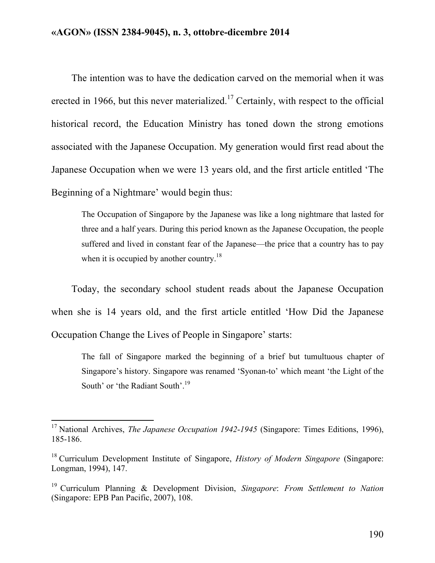The intention was to have the dedication carved on the memorial when it was erected in 1966, but this never materialized.<sup>17</sup> Certainly, with respect to the official historical record, the Education Ministry has toned down the strong emotions associated with the Japanese Occupation. My generation would first read about the Japanese Occupation when we were 13 years old, and the first article entitled 'The Beginning of a Nightmare' would begin thus:

The Occupation of Singapore by the Japanese was like a long nightmare that lasted for three and a half years. During this period known as the Japanese Occupation, the people suffered and lived in constant fear of the Japanese—the price that a country has to pay when it is occupied by another country.<sup>18</sup>

Today, the secondary school student reads about the Japanese Occupation when she is 14 years old, and the first article entitled 'How Did the Japanese Occupation Change the Lives of People in Singapore' starts:

The fall of Singapore marked the beginning of a brief but tumultuous chapter of Singapore's history. Singapore was renamed 'Syonan-to' which meant 'the Light of the South' or 'the Radiant South'.<sup>19</sup>

<sup>&</sup>lt;sup>17</sup> National Archives, *The Japanese Occupation 1942-1945* (Singapore: Times Editions, 1996), 185-186.

<sup>18</sup> Curriculum Development Institute of Singapore, *History of Modern Singapore* (Singapore: Longman, 1994), 147.

<sup>19</sup> Curriculum Planning & Development Division, *Singapore*: *From Settlement to Nation* (Singapore: EPB Pan Pacific, 2007), 108.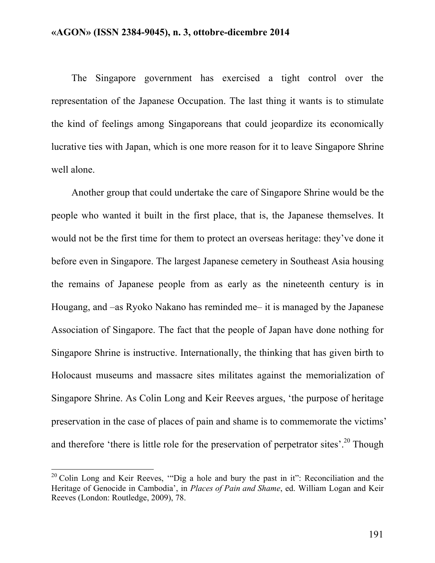The Singapore government has exercised a tight control over the representation of the Japanese Occupation. The last thing it wants is to stimulate the kind of feelings among Singaporeans that could jeopardize its economically lucrative ties with Japan, which is one more reason for it to leave Singapore Shrine well alone.

Another group that could undertake the care of Singapore Shrine would be the people who wanted it built in the first place, that is, the Japanese themselves. It would not be the first time for them to protect an overseas heritage: they've done it before even in Singapore. The largest Japanese cemetery in Southeast Asia housing the remains of Japanese people from as early as the nineteenth century is in Hougang, and –as Ryoko Nakano has reminded me– it is managed by the Japanese Association of Singapore. The fact that the people of Japan have done nothing for Singapore Shrine is instructive. Internationally, the thinking that has given birth to Holocaust museums and massacre sites militates against the memorialization of Singapore Shrine. As Colin Long and Keir Reeves argues, 'the purpose of heritage preservation in the case of places of pain and shame is to commemorate the victims' and therefore 'there is little role for the preservation of perpetrator sites'.<sup>20</sup> Though

 $20$  Colin Long and Keir Reeves, "Dig a hole and bury the past in it": Reconciliation and the Heritage of Genocide in Cambodia', in *Places of Pain and Shame*, ed. William Logan and Keir Reeves (London: Routledge, 2009), 78.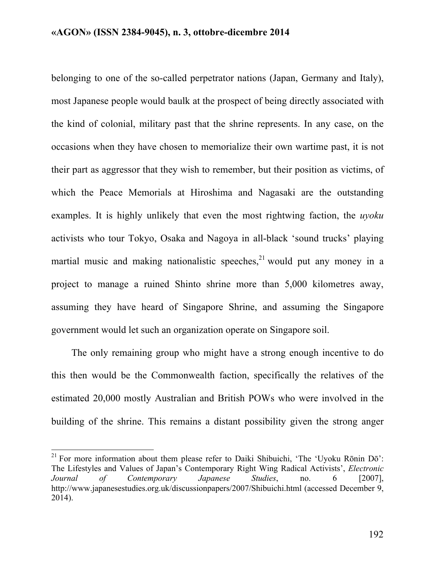belonging to one of the so-called perpetrator nations (Japan, Germany and Italy), most Japanese people would baulk at the prospect of being directly associated with the kind of colonial, military past that the shrine represents. In any case, on the occasions when they have chosen to memorialize their own wartime past, it is not their part as aggressor that they wish to remember, but their position as victims, of which the Peace Memorials at Hiroshima and Nagasaki are the outstanding examples. It is highly unlikely that even the most rightwing faction, the *uyoku*  activists who tour Tokyo, Osaka and Nagoya in all-black 'sound trucks' playing martial music and making nationalistic speeches, $21$  would put any money in a project to manage a ruined Shinto shrine more than 5,000 kilometres away, assuming they have heard of Singapore Shrine, and assuming the Singapore government would let such an organization operate on Singapore soil.

The only remaining group who might have a strong enough incentive to do this then would be the Commonwealth faction, specifically the relatives of the estimated 20,000 mostly Australian and British POWs who were involved in the building of the shrine. This remains a distant possibility given the strong anger

<sup>&</sup>lt;sup>21</sup> For more information about them please refer to Daiki Shibuichi, 'The 'Uyoku Rōnin Dō': The Lifestyles and Values of Japan's Contemporary Right Wing Radical Activists', *Electronic Journal of Contemporary Japanese Studies*, no. 6 [2007], http://www.japanesestudies.org.uk/discussionpapers/2007/Shibuichi.html (accessed December 9, 2014).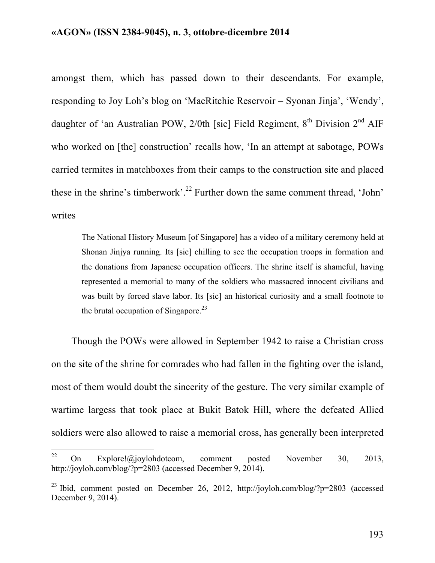amongst them, which has passed down to their descendants. For example, responding to Joy Loh's blog on 'MacRitchie Reservoir – Syonan Jinja', 'Wendy', daughter of 'an Australian POW,  $2/0$ th [sic] Field Regiment,  $8<sup>th</sup>$  Division  $2<sup>nd</sup>$  AIF who worked on [the] construction' recalls how, 'In an attempt at sabotage, POWs carried termites in matchboxes from their camps to the construction site and placed these in the shrine's timberwork'.<sup>22</sup> Further down the same comment thread, 'John' writes

The National History Museum [of Singapore] has a video of a military ceremony held at Shonan Jinjya running. Its [sic] chilling to see the occupation troops in formation and the donations from Japanese occupation officers. The shrine itself is shameful, having represented a memorial to many of the soldiers who massacred innocent civilians and was built by forced slave labor. Its [sic] an historical curiosity and a small footnote to the brutal occupation of Singapore.<sup>23</sup>

Though the POWs were allowed in September 1942 to raise a Christian cross on the site of the shrine for comrades who had fallen in the fighting over the island, most of them would doubt the sincerity of the gesture. The very similar example of wartime largess that took place at Bukit Batok Hill, where the defeated Allied soldiers were also allowed to raise a memorial cross, has generally been interpreted

<sup>&</sup>lt;sup>22</sup> On Explore!@joylohdotcom, comment posted November 30, 2013, http://joyloh.com/blog/?p=2803 (accessed December 9, 2014).

<sup>23</sup> Ibid, comment posted on December 26, 2012, http://joyloh.com/blog/?p=2803 (accessed December 9, 2014).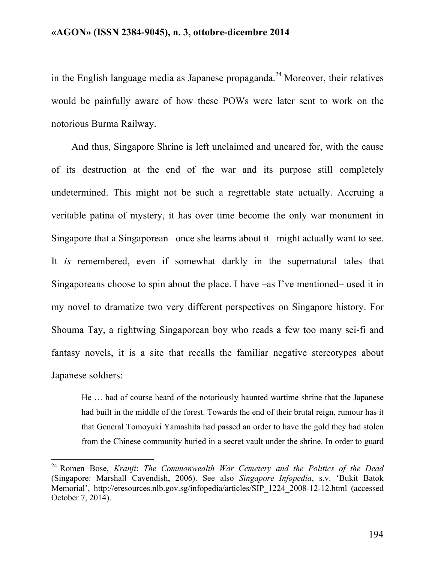in the English language media as Japanese propaganda.<sup>24</sup> Moreover, their relatives would be painfully aware of how these POWs were later sent to work on the notorious Burma Railway.

And thus, Singapore Shrine is left unclaimed and uncared for, with the cause of its destruction at the end of the war and its purpose still completely undetermined. This might not be such a regrettable state actually. Accruing a veritable patina of mystery, it has over time become the only war monument in Singapore that a Singaporean –once she learns about it– might actually want to see. It *is* remembered, even if somewhat darkly in the supernatural tales that Singaporeans choose to spin about the place. I have –as I've mentioned– used it in my novel to dramatize two very different perspectives on Singapore history. For Shouma Tay, a rightwing Singaporean boy who reads a few too many sci-fi and fantasy novels, it is a site that recalls the familiar negative stereotypes about Japanese soldiers:

He … had of course heard of the notoriously haunted wartime shrine that the Japanese had built in the middle of the forest. Towards the end of their brutal reign, rumour has it that General Tomoyuki Yamashita had passed an order to have the gold they had stolen from the Chinese community buried in a secret vault under the shrine. In order to guard

<sup>&</sup>lt;sup>24</sup> Romen Bose, *Kranji: The Commonwealth War Cemetery and the Politics of the Dead* (Singapore: Marshall Cavendish, 2006). See also *Singapore Infopedia*, s.v. 'Bukit Batok Memorial', http://eresources.nlb.gov.sg/infopedia/articles/SIP\_1224\_2008-12-12.html (accessed October 7, 2014).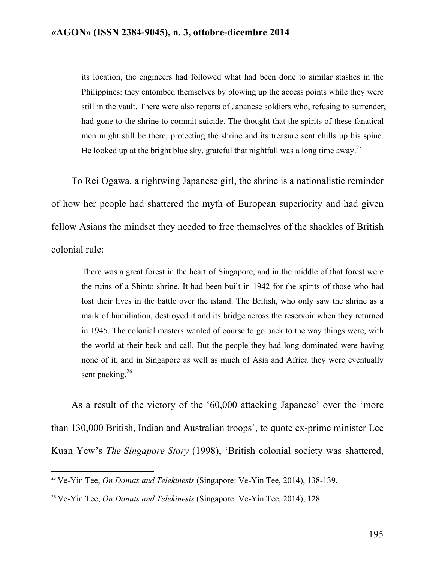its location, the engineers had followed what had been done to similar stashes in the Philippines: they entombed themselves by blowing up the access points while they were still in the vault. There were also reports of Japanese soldiers who, refusing to surrender, had gone to the shrine to commit suicide. The thought that the spirits of these fanatical men might still be there, protecting the shrine and its treasure sent chills up his spine. He looked up at the bright blue sky, grateful that nightfall was a long time away.<sup>25</sup>

To Rei Ogawa, a rightwing Japanese girl, the shrine is a nationalistic reminder of how her people had shattered the myth of European superiority and had given fellow Asians the mindset they needed to free themselves of the shackles of British colonial rule:

There was a great forest in the heart of Singapore, and in the middle of that forest were the ruins of a Shinto shrine. It had been built in 1942 for the spirits of those who had lost their lives in the battle over the island. The British, who only saw the shrine as a mark of humiliation, destroyed it and its bridge across the reservoir when they returned in 1945. The colonial masters wanted of course to go back to the way things were, with the world at their beck and call. But the people they had long dominated were having none of it, and in Singapore as well as much of Asia and Africa they were eventually sent packing. $26$ 

As a result of the victory of the '60,000 attacking Japanese' over the 'more than 130,000 British, Indian and Australian troops', to quote ex-prime minister Lee Kuan Yew's *The Singapore Story* (1998), 'British colonial society was shattered,

!!!!!!!!!!!!!!!!!!!!!!!!!!!!!!!!!!!!!!!!!!!!!!!!!!!!!!!!!!!!

<sup>25</sup> Ve-Yin Tee, *On Donuts and Telekinesis* (Singapore: Ve-Yin Tee, 2014), 138-139.

<sup>26</sup> Ve-Yin Tee, *On Donuts and Telekinesis* (Singapore: Ve-Yin Tee, 2014), 128.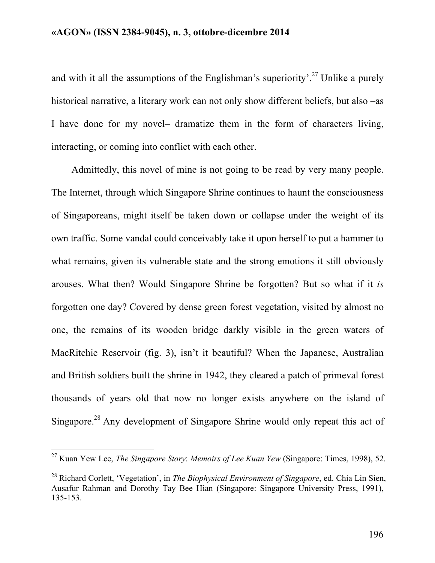and with it all the assumptions of the Englishman's superiority'.<sup>27</sup> Unlike a purely historical narrative, a literary work can not only show different beliefs, but also –as I have done for my novel– dramatize them in the form of characters living, interacting, or coming into conflict with each other.

Admittedly, this novel of mine is not going to be read by very many people. The Internet, through which Singapore Shrine continues to haunt the consciousness of Singaporeans, might itself be taken down or collapse under the weight of its own traffic. Some vandal could conceivably take it upon herself to put a hammer to what remains, given its vulnerable state and the strong emotions it still obviously arouses. What then? Would Singapore Shrine be forgotten? But so what if it *is* forgotten one day? Covered by dense green forest vegetation, visited by almost no one, the remains of its wooden bridge darkly visible in the green waters of MacRitchie Reservoir (fig. 3), isn't it beautiful? When the Japanese, Australian and British soldiers built the shrine in 1942, they cleared a patch of primeval forest thousands of years old that now no longer exists anywhere on the island of Singapore.<sup>28</sup> Any development of Singapore Shrine would only repeat this act of

<sup>&</sup>lt;sup>27</sup> Kuan Yew Lee, *The Singapore Story: Memoirs of Lee Kuan Yew* (Singapore: Times, 1998), 52.

<sup>28</sup> Richard Corlett, 'Vegetation', in *The Biophysical Environment of Singapore*, ed. Chia Lin Sien, Ausafur Rahman and Dorothy Tay Bee Hian (Singapore: Singapore University Press, 1991), 135-153.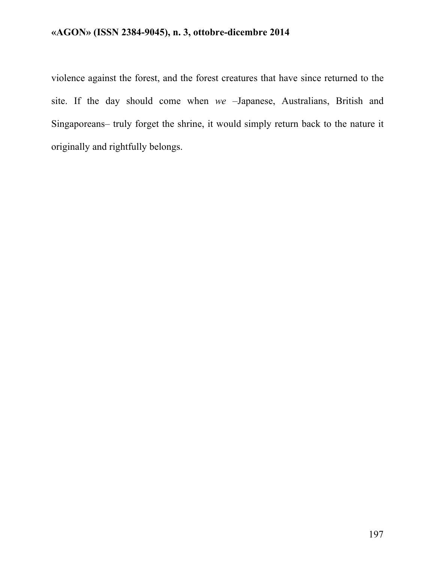violence against the forest, and the forest creatures that have since returned to the site. If the day should come when *we* –Japanese, Australians, British and Singaporeans– truly forget the shrine, it would simply return back to the nature it originally and rightfully belongs.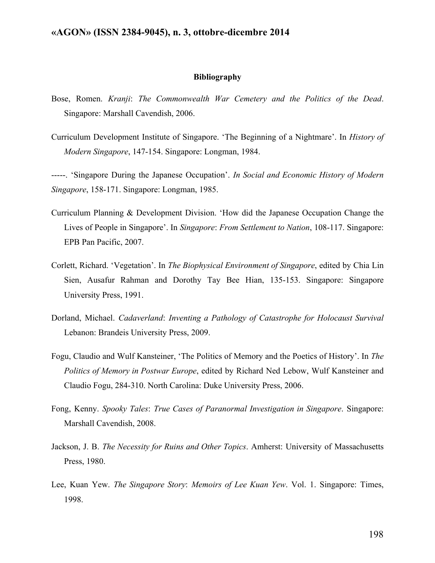#### **Bibliography**

- Bose, Romen. *Kranji*: *The Commonwealth War Cemetery and the Politics of the Dead*. Singapore: Marshall Cavendish, 2006.
- Curriculum Development Institute of Singapore. 'The Beginning of a Nightmare'. In *History of Modern Singapore*, 147-154. Singapore: Longman, 1984.

-----. 'Singapore During the Japanese Occupation'. *In Social and Economic History of Modern Singapore*, 158-171. Singapore: Longman, 1985.

- Curriculum Planning & Development Division. 'How did the Japanese Occupation Change the Lives of People in Singapore'. In *Singapore*: *From Settlement to Nation*, 108-117. Singapore: EPB Pan Pacific, 2007.
- Corlett, Richard. 'Vegetation'. In *The Biophysical Environment of Singapore*, edited by Chia Lin Sien, Ausafur Rahman and Dorothy Tay Bee Hian, 135-153. Singapore: Singapore University Press, 1991.
- Dorland, Michael. *Cadaverland*: *Inventing a Pathology of Catastrophe for Holocaust Survival* Lebanon: Brandeis University Press, 2009.
- Fogu, Claudio and Wulf Kansteiner, 'The Politics of Memory and the Poetics of History'. In *The Politics of Memory in Postwar Europe*, edited by Richard Ned Lebow, Wulf Kansteiner and Claudio Fogu, 284-310. North Carolina: Duke University Press, 2006.
- Fong, Kenny. *Spooky Tales*: *True Cases of Paranormal Investigation in Singapore*. Singapore: Marshall Cavendish, 2008.
- Jackson, J. B. *The Necessity for Ruins and Other Topics*. Amherst: University of Massachusetts Press, 1980.
- Lee, Kuan Yew. *The Singapore Story*: *Memoirs of Lee Kuan Yew*. Vol. 1. Singapore: Times, 1998.